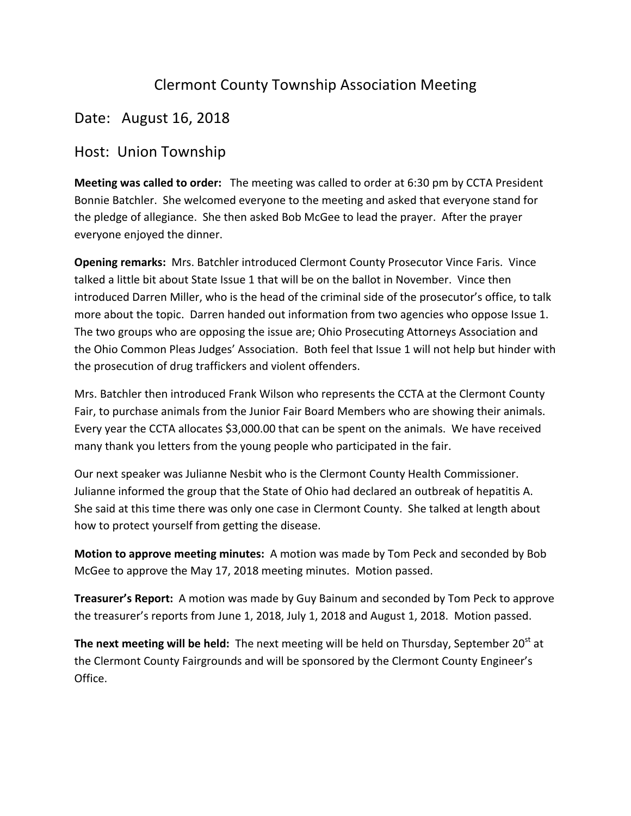## Clermont County Township Association Meeting

## Date: August 16, 2018

## Host: Union Township

**Meeting was called to order:** The meeting was called to order at 6:30 pm by CCTA President Bonnie Batchler. She welcomed everyone to the meeting and asked that everyone stand for the pledge of allegiance. She then asked Bob McGee to lead the prayer. After the prayer everyone enjoyed the dinner.

**Opening remarks:** Mrs. Batchler introduced Clermont County Prosecutor Vince Faris. Vince talked a little bit about State Issue 1 that will be on the ballot in November. Vince then introduced Darren Miller, who is the head of the criminal side of the prosecutor's office, to talk more about the topic. Darren handed out information from two agencies who oppose Issue 1. The two groups who are opposing the issue are; Ohio Prosecuting Attorneys Association and the Ohio Common Pleas Judges' Association. Both feel that Issue 1 will not help but hinder with the prosecution of drug traffickers and violent offenders.

Mrs. Batchler then introduced Frank Wilson who represents the CCTA at the Clermont County Fair, to purchase animals from the Junior Fair Board Members who are showing their animals. Every year the CCTA allocates \$3,000.00 that can be spent on the animals. We have received many thank you letters from the young people who participated in the fair.

Our next speaker was Julianne Nesbit who is the Clermont County Health Commissioner. Julianne informed the group that the State of Ohio had declared an outbreak of hepatitis A. She said at this time there was only one case in Clermont County. She talked at length about how to protect yourself from getting the disease.

**Motion to approve meeting minutes:** A motion was made by Tom Peck and seconded by Bob McGee to approve the May 17, 2018 meeting minutes. Motion passed.

**Treasurer's Report:** A motion was made by Guy Bainum and seconded by Tom Peck to approve the treasurer's reports from June 1, 2018, July 1, 2018 and August 1, 2018. Motion passed.

**The next meeting will be held:** The next meeting will be held on Thursday, September 20<sup>st</sup> at the Clermont County Fairgrounds and will be sponsored by the Clermont County Engineer's Office.